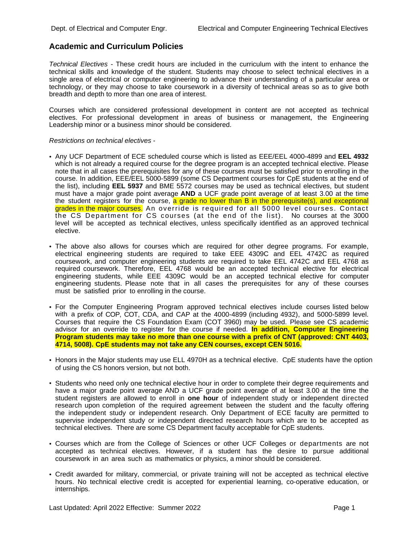## **Academic and Curriculum Policies**

*Technical Electives* - These credit hours are included in the curriculum with the intent to enhance the technical skills and knowledge of the student. Students may choose to select technical electives in a single area of electrical or computer engineering to advance their understanding of a particular area or technology, or they may choose to take coursework in a diversity of technical areas so as to give both breadth and depth to more than one area of interest.

Courses which are considered professional development in content are not accepted as technical electives. For professional development in areas of business or management, the Engineering Leadership minor or a business minor should be considered.

*Restrictions on technical electives* -

- Any UCF Department of ECE scheduled course which is listed as EEE/EEL 4000-4899 and **EEL 4932** which is not already a required course for the degree program is an accepted technical elective. Please note that in all cases the prerequisites for any of these courses must be satisfied prior to enrolling in the course. In addition, EEE/EEL 5000-5899 (some CS Department courses for CpE students at the end of the list), including **EEL 5937** and BME 5572 courses may be used as technical electives, but student must have a major grade point average **AND** a UCF grade point average of at least 3.00 at the time the student registers for the course, a grade no lower than B in the prerequisite(s), and exceptional grades in the major courses. An override is required for all 5000 level courses. Contact the CS Department for CS courses (at the end of the list). No courses at the 3000 level will be accepted as technical electives, unless specifically identified as an approved technical elective.
- The above also allows for courses which are required for other degree programs. For example, electrical engineering students are required to take EEE 4309C and EEL 4742C as required coursework, and computer engineering students are required to take EEL 4742C and EEL 4768 as required coursework. Therefore, EEL 4768 would be an accepted technical elective for electrical engineering students, while EEE 4309C would be an accepted technical elective for computer engineering students. Please note that in all cases the prerequisites for any of these courses must be satisfied prior to enrolling in the course.
- For the Computer Engineering Program approved technical electives include courses listed below with a prefix of COP, COT, CDA, and CAP at the 4000-4899 (including 4932), and 5000-5899 level. Courses that require the CS Foundation Exam (COT 3960) may be used. Please see CS academic advisor for an override to register for the course if needed. **In addition, Computer Engineering Program students may take no more than one course with a prefix of CNT (approved: CNT 4403, 4714, 5008). CpE students may not take any CEN courses, except CEN 5016.**
- Honors in the Major students may use ELL 4970H as a technical elective. CpE students have the option of using the CS honors version, but not both.
- Students who need only one technical elective hour in order to complete their degree requirements and have a major grade point average AND a UCF grade point average of at least 3.00 at the time the student registers are allowed to enroll in **one hour** of independent study or independent directed research upon completion of the required agreement between the student and the faculty offering the independent study or independent research. Only Department of ECE faculty are permitted to supervise independent study or independent directed research hours which are to be accepted as technical electives. There are some CS Department faculty acceptable for CpE students.
- Courses which are from the College of Sciences or other UCF Colleges or departments are not accepted as technical electives. However, if a student has the desire to pursue additional coursework in an area such as mathematics or physics, a minor should be considered.
- Credit awarded for military, commercial, or private training will not be accepted as technical elective hours. No technical elective credit is accepted for experiential learning, co-operative education, or internships.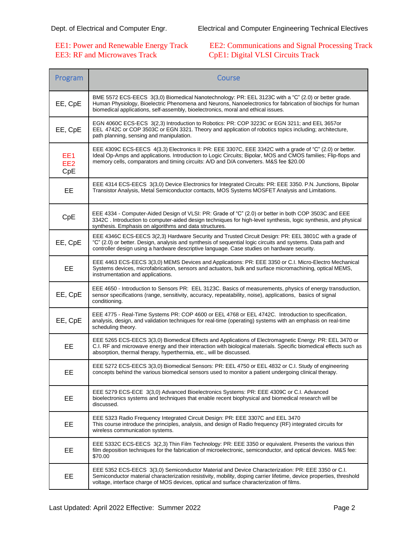## EE3: RF and Microwaves Track CpE1: Digital VLSI Circuits Track

## EE1: Power and Renewable Energy Track EE2: Communications and Signal Processing Track

| Program                                   | Course                                                                                                                                                                                                                                                                                                                |
|-------------------------------------------|-----------------------------------------------------------------------------------------------------------------------------------------------------------------------------------------------------------------------------------------------------------------------------------------------------------------------|
| EE, CpE                                   | BME 5572 ECS-EECS 3(3,0) Biomedical Nanotechnology: PR: EEL 3123C with a "C" (2.0) or better grade.<br>Human Physiology, Bioelectric Phenomena and Neurons, Nanoelectronics for fabrication of biochips for human<br>biomedical applications, self-assembly, bioelectronics, moral and ethical issues.                |
| EE, CpE                                   | EGN 4060C ECS-ECS 3(2,3) Introduction to Robotics: PR: COP 3223C or EGN 3211; and EEL 3657or<br>EEL 4742C or COP 3503C or EGN 3321. Theory and application of robotics topics including; architecture,<br>path planning, sensing and manipulation.                                                                    |
| EE <sub>1</sub><br>EE <sub>2</sub><br>CpE | EEE 4309C ECS-EECS 4(3,3) Electronics II: PR: EEE 3307C, EEE 3342C with a grade of "C" (2.0) or better.<br>Ideal Op-Amps and applications. Introduction to Logic Circuits; Bipolar, MOS and CMOS families; Flip-flops and<br>memory cells, comparators and timing circuits: A/D and D/A converters. M&S fee \$20.00   |
| EE                                        | EEE 4314 ECS-EECS 3(3,0) Device Electronics for Integrated Circuits: PR: EEE 3350. P.N. Junctions, Bipolar<br>Transistor Analysis, Metal Semiconductor contacts, MOS Systems MOSFET Analysis and Limitations.                                                                                                         |
| CpE                                       | EEE 4334 - Computer-Aided Design of VLSI: PR: Grade of "C" (2.0) or better in both COP 3503C and EEE<br>3342C . Introduction to computer-aided design techniques for high-level synthesis, logic synthesis, and physical<br>synthesis. Emphasis on algorithms and data structures.                                    |
| EE, CpE                                   | EEE 4346C ECS-EECS 3(2,3) Hardware Security and Trusted Circuit Design: PR: EEL 3801C with a grade of<br>"C" (2.0) or better. Design, analysis and synthesis of sequential logic circuits and systems. Data path and<br>controller design using a hardware descriptive language. Case studies on hardware security.   |
| EE                                        | EEE 4463 ECS-EECS 3(3,0) MEMS Devices and Applications: PR: EEE 3350 or C.I. Micro-Electro Mechanical<br>Systems devices, microfabrication, sensors and actuators, bulk and surface micromachining, optical MEMS,<br>instrumentation and applications.                                                                |
| EE, CpE                                   | EEE 4650 - Introduction to Sensors PR: EEL 3123C. Basics of measurements, physics of energy transduction,<br>sensor specifications (range, sensitivity, accuracy, repeatability, noise), applications, basics of signal<br>conditioning.                                                                              |
| EE, CpE                                   | EEE 4775 - Real-Time Systems PR: COP 4600 or EEL 4768 or EEL 4742C. Introduction to specification,<br>analysis, design, and validation techniques for real-time (operating) systems with an emphasis on real-time<br>scheduling theory.                                                                               |
| EE                                        | EEE 5265 ECS-EECS 3(3,0) Biomedical Effects and Applications of Electromagnetic Energy: PR: EEL 3470 or<br>C.I. RF and microwave energy and their interaction with biological materials. Specific biomedical effects such as<br>absorption, thermal therapy, hyperthermia, etc., will be discussed.                   |
| EЕ                                        | EEE 5272 ECS-EECS 3(3,0) Biomedical Sensors: PR: EEL 4750 or EEL 4832 or C.I. Study of engineering<br>concepts behind the various biomedical sensors used to monitor a patient undergoing clinical therapy.                                                                                                           |
| EE                                        | EEE 5279 ECS-ECE 3(3,0) Advanced Bioelectronics Systems: PR: EEE 4309C or C.I. Advanced<br>bioelectronics systems and techniques that enable recent biophysical and biomedical research will be<br>discussed.                                                                                                         |
| EE                                        | EEE 5323 Radio Frequency Integrated Circuit Design: PR: EEE 3307C and EEL 3470<br>This course introduce the principles, analysis, and design of Radio frequency (RF) integrated circuits for<br>wireless communication systems.                                                                                       |
| EE                                        | EEE 5332C ECS-EECS 3(2,3) Thin Film Technology: PR: EEE 3350 or equivalent. Presents the various thin<br>film deposition techniques for the fabrication of microelectronic, semiconductor, and optical devices. M&S fee:<br>\$70.00                                                                                   |
| EE                                        | EEE 5352 ECS-EECS 3(3,0) Semiconductor Material and Device Characterization: PR: EEE 3350 or C.I.<br>Semiconductor material characterization resistivity, mobility, doping carrier lifetime, device properties, threshold<br>voltage, interface charge of MOS devices, optical and surface characterization of films. |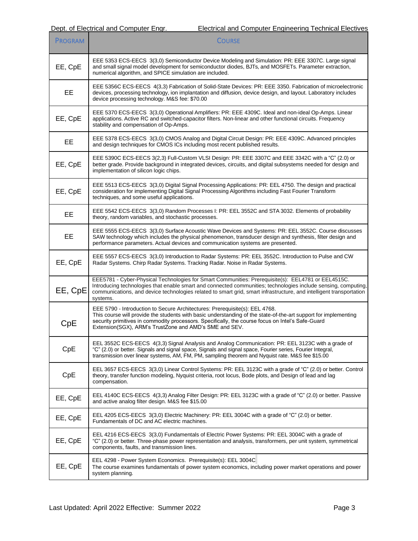| <b>PROGRAM</b> | <b>COURSE</b>                                                                                                                                                                                                                                                                                                                                                 |
|----------------|---------------------------------------------------------------------------------------------------------------------------------------------------------------------------------------------------------------------------------------------------------------------------------------------------------------------------------------------------------------|
| EE, CpE        | EEE 5353 ECS-EECS 3(3,0) Semiconductor Device Modeling and Simulation: PR: EEE 3307C. Large signal<br>and small signal model development for semiconductor diodes, BJTs, and MOSFETs. Parameter extraction,<br>numerical algorithm, and SPICE simulation are included.                                                                                        |
| EE             | EEE 5356C ECS-EECS 4(3,3) Fabrication of Solid-State Devices: PR: EEE 3350. Fabrication of microelectronic<br>devices, processing technology, ion implantation and diffusion, device design, and layout. Laboratory includes<br>device processing technology. M&S fee: \$70.00                                                                                |
| EE, CpE        | EEE 5370 ECS-EECS 3(3,0) Operational Amplifiers: PR: EEE 4309C. Ideal and non-ideal Op-Amps. Linear<br>applications. Active RC and switched-capacitor filters. Non-linear and other functional circuits. Frequency<br>stability and compensation of Op-Amps.                                                                                                  |
| EE             | EEE 5378 ECS-EECS 3(3,0) CMOS Analog and Digital Circuit Design: PR: EEE 4309C. Advanced principles<br>and design techniques for CMOS ICs including most recent published results.                                                                                                                                                                            |
| EE, CpE        | EEE 5390C ECS-EECS 3(2,3) Full-Custom VLSI Design: PR: EEE 3307C and EEE 3342C with a "C" (2.0) or<br>better grade. Provide background in integrated devices, circuits, and digital subsystems needed for design and<br>implementation of silicon logic chips.                                                                                                |
| EE, CpE        | EEE 5513 ECS-EECS 3(3,0) Digital Signal Processing Applications: PR: EEL 4750. The design and practical<br>consideration for implementing Digital Signal Processing Algorithms including Fast Fourier Transform<br>techniques, and some useful applications.                                                                                                  |
| EE             | EEE 5542 ECS-EECS 3(3,0) Random Processes I: PR: EEL 3552C and STA 3032. Elements of probability<br>theory, random variables, and stochastic processes.                                                                                                                                                                                                       |
| EE             | EEE 5555 ECS-EECS 3(3,0) Surface Acoustic Wave Devices and Systems: PR: EEL 3552C. Course discusses<br>SAW technology which includes the physical phenomenon, transducer design and synthesis, filter design and<br>performance parameters. Actual devices and communication systems are presented.                                                           |
| EE, CpE        | EEE 5557 ECS-EECS 3(3,0) Introduction to Radar Systems: PR: EEL 3552C. Introduction to Pulse and CW<br>Radar Systems. Chirp Radar Systems. Tracking Radar. Noise in Radar Systems.                                                                                                                                                                            |
| EE, CpE        | EEE5781 - Cyber-Physical Technologies for Smart Communities: Prerequisite(s): EEL4781 or EEL4515C.<br>Introducing technologies that enable smart and connected communities; technologies include sensing, computing,<br>communications, and device technologies related to smart grid, smart infrastructure, and intelligent transportation<br>systems.       |
| CpE            | EEE 5790 - Introduction to Secure Architectures: Prerequisite(s): EEL 4768.<br>This course will provide the students with basic understanding of the state-of-the-art support for implementing<br>security primitives in commodity processors. Specifically, the course focus on Intel's Safe-Guard<br>Extension(SGX), ARM's TrustZone and AMD's SME and SEV. |
| CpE            | EEL 3552C ECS-EECS 4(3,3) Signal Analysis and Analog Communication: PR: EEL 3123C with a grade of<br>"C" (2.0) or better. Signals and signal space, Signals and signal space, Fourier series, Fourier Integral,<br>transmission over linear systems, AM, FM, PM, sampling theorem and Nyquist rate. M&S fee \$15.00                                           |
| CpE            | EEL 3657 ECS-EECS 3(3,0) Linear Control Systems: PR: EEL 3123C with a grade of "C" (2.0) or better. Control<br>theory, transfer function modeling, Nyquist criteria, root locus, Bode plots, and Design of lead and lag<br>compensation.                                                                                                                      |
| EE, CpE        | EEL 4140C ECS-EECS 4(3,3) Analog Filter Design: PR: EEL 3123C with a grade of "C" (2.0) or better. Passive<br>and active analog filter design. M&S fee \$15.00                                                                                                                                                                                                |
| EE, CpE        | EEL 4205 ECS-EECS 3(3,0) Electric Machinery: PR: EEL 3004C with a grade of "C" (2.0) or better.<br>Fundamentals of DC and AC electric machines.                                                                                                                                                                                                               |
| EE, CpE        | EEL 4216 ECS-EECS 3(3,0) Fundamentals of Electric Power Systems: PR: EEL 3004C with a grade of<br>"C" (2.0) or better. Three-phase power representation and analysis, transformers, per unit system, symmetrical<br>components, faults, and transmission lines.                                                                                               |
| EE, CpE        | EEL 4298 - Power System Economics. Prerequisite(s): EEL 3004C<br>The course examines fundamentals of power system economics, including power market operations and power<br>system planning.                                                                                                                                                                  |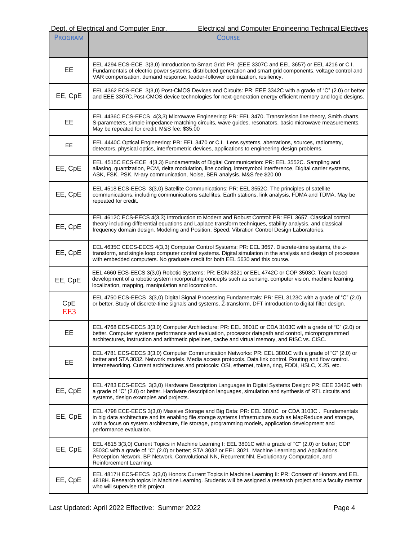| <b>PROGRAM</b> | <b>COURSE</b>                                                                                                                                                                                                                                                                                                                                    |
|----------------|--------------------------------------------------------------------------------------------------------------------------------------------------------------------------------------------------------------------------------------------------------------------------------------------------------------------------------------------------|
| EE             | EEL 4294 ECS-ECE 3(3,0) Introduction to Smart Grid: PR: (EEE 3307C and EEL 3657) or EEL 4216 or C.I.<br>Fundamentals of electric power systems, distributed generation and smart grid components, voltage control and<br>VAR compensation, demand response, leader-follower optimization, resiliency.                                            |
| EE, CpE        | EEL 4362 ECS-ECE 3(3,0) Post-CMOS Devices and Circuits: PR: EEE 3342C with a grade of "C" (2.0) or better<br>and EEE 3307C.Post-CMOS device technologies for next-generation energy efficient memory and logic designs.                                                                                                                          |
| EE             | EEL 4436C ECS-EECS 4(3,3) Microwave Engineering: PR: EEL 3470. Transmission line theory, Smith charts,<br>S-parameters, simple impedance matching circuits, wave guides, resonators, basic microwave measurements.<br>May be repeated for credit. M&S fee: \$35.00                                                                               |
| EЕ             | EEL 4440C Optical Engineering: PR: EEL 3470 or C.I. Lens systems, aberrations, sources, radiometry,<br>detectors, physical optics, interferometric devices, applications to engineering design problems.                                                                                                                                         |
| EE, CpE        | EEL 4515C ECS-ECE 4(3,3) Fundamentals of Digital Communication: PR: EEL 3552C. Sampling and<br>aliasing, quantization, PCM, delta modulation, line coding, intersymbol interference, Digital carrier systems,<br>ASK, FSK, PSK, M-ary communication, Noise, BER analysis. M&S fee \$20.00                                                        |
| EE, CpE        | EEL 4518 ECS-EECS 3(3,0) Satellite Communications: PR: EEL 3552C. The principles of satellite<br>communications, including communications satellites, Earth stations, link analysis, FDMA and TDMA. May be<br>repeated for credit.                                                                                                               |
| EE, CpE        | EEL 4612C ECS-EECS 4(3,3) Introduction to Modern and Robust Control: PR: EEL 3657. Classical control<br>theory including differential equations and Laplace transform techniques, stability analysis, and classical<br>frequency domain design. Modeling and Position, Speed, Vibration Control Design Laboratories.                             |
| EE, CpE        | EEL 4635C CECS-EECS 4(3,3) Computer Control Systems: PR: EEL 3657. Discrete-time systems, the z-<br>transform, and single loop computer control systems. Digital simulation in the analysis and design of processes<br>with embedded computers. No graduate credit for both EEL 5630 and this course.                                            |
| EE, CpE        | EEL 4660 ECS-EECS 3(3,0) Robotic Systems: PR: EGN 3321 or EEL 4742C or COP 3503C. Team based<br>development of a robotic system incorporating concepts such as sensing, computer vision, machine learning,<br>localization, mapping, manipulation and locomotion.                                                                                |
| CpE<br>EE3     | EEL 4750 ECS-EECS 3(3,0) Digital Signal Processing Fundamentals: PR: EEL 3123C with a grade of "C" (2.0)<br>or better. Study of discrete-time signals and systems, Z-transform, DFT introduction to digital filter design.                                                                                                                       |
| EE             | EEL 4768 ECS-EECS 3(3,0) Computer Architecture: PR: EEL 3801C or CDA 3103C with a grade of "C" (2.0) or<br>better. Computer systems performance and evaluation, processor datapath and control, microprogrammed<br>architectures, instruction and arithmetic pipelines, cache and virtual memory, and RISC vs. CISC.                             |
| EE             | EEL 4781 ECS-EECS 3(3,0) Computer Communication Networks: PR: EEL 3801C with a grade of "C" (2.0) or<br>better and STA 3032. Network models. Media access protocols. Data link control. Routing and flow control.<br>Internetworking. Current architectures and protocols: OSI, ethernet, token, ring, FDDI, HSLC, X.25, etc.                    |
| EE, CpE        | EEL 4783 ECS-EECS 3(3,0) Hardware Description Languages in Digital Systems Design: PR: EEE 3342C with<br>a grade of "C" (2.0) or better. Hardware description languages, simulation and synthesis of RTL circuits and<br>systems, design examples and projects.                                                                                  |
| EE, CpE        | EEL 4798 ECE-EECS 3(3,0) Massive Storage and Big Data: PR: EEL 3801C or CDA 3103C. Fundamentals<br>in big data architecture and its enabling file storage systems Infrastructure such as MapReduce and storage,<br>with a focus on system architecture, file storage, programming models, application development and<br>performance evaluation. |
| EE, CpE        | EEL 4815 3(3,0) Current Topics in Machine Learning I: EEL 3801C with a grade of "C" (2.0) or better; COP<br>3503C with a grade of "C" (2.0) or better; STA 3032 or EEL 3021. Machine Learning and Applications.<br>Perception Network, BP Network, Convolutional NN, Recurrent NN, Evolutionary Computation, and<br>Reinforcement Learning.      |
| EE, CpE        | EEL 4817H ECS-EECS 3(3,0) Honors Current Topics in Machine Learning II: PR: Consent of Honors and EEL<br>4818H. Research topics in Machine Learning. Students will be assigned a research project and a faculty mentor<br>who will supervise this project.                                                                                       |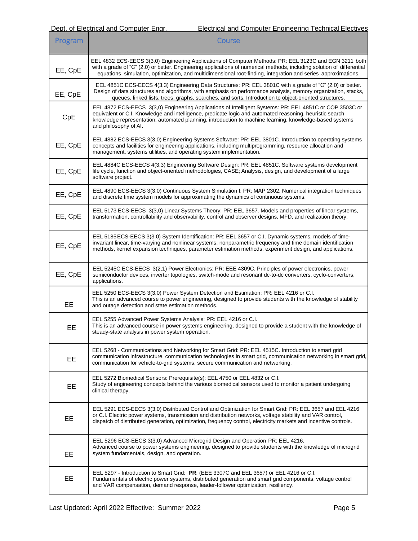| Program | <b>Course</b>                                                                                                                                                                                                                                                                                                                                            |
|---------|----------------------------------------------------------------------------------------------------------------------------------------------------------------------------------------------------------------------------------------------------------------------------------------------------------------------------------------------------------|
| EE, CpE | EEL 4832 ECS-EECS 3(3,0) Engineering Applications of Computer Methods: PR: EEL 3123C and EGN 3211 both<br>with a grade of "C" (2.0) or better. Engineering applications of numerical methods, including solution of differential<br>equations, simulation, optimization, and multidimensional root-finding, integration and series approximations.       |
| EE, CpE | EEL 4851C ECS-EECS 4(3,3) Engineering Data Structures: PR: EEL 3801C with a grade of "C" (2.0) or better.<br>Design of data structures and algorithms, with emphasis on performance analysis, memory organization, stacks,<br>queues, linked lists, trees, graphs, searches, and sorts. Introduction to object-oriented structures.                      |
| CpE     | EEL 4872 ECS-EECS 3(3,0) Engineering Applications of Intelligent Systems: PR: EEL 4851C or COP 3503C or<br>equivalent or C.I. Knowledge and intelligence, predicate logic and automated reasoning, heuristic search,<br>knowledge representation, automated planning, introduction to machine learning, knowledge-based systems<br>and philosophy of AI. |
| EE, CpE | EEL 4882 ECS-EECS 3(3,0) Engineering Systems Software: PR: EEL 3801C. Introduction to operating systems<br>concepts and facilities for engineering applications, including multiprogramming, resource allocation and<br>management, systems utilities, and operating system implementation.                                                              |
| EE, CpE | EEL 4884C ECS-EECS 4(3,3) Engineering Software Design: PR: EEL 4851C. Software systems development<br>life cycle, function and object-oriented methodologies, CASE; Analysis, design, and development of a large<br>software project.                                                                                                                    |
| EE, CpE | EEL 4890 ECS-EECS 3(3.0) Continuous System Simulation I: PR: MAP 2302. Numerical integration techniques<br>and discrete time system models for approximating the dynamics of continuous systems.                                                                                                                                                         |
| EE, CpE | EEL 5173 ECS-EECS 3(3,0) Linear Systems Theory: PR: EEL 3657. Models and properties of linear systems,<br>transformation, controllability and observability, control and observer designs, MFD, and realization theory.                                                                                                                                  |
| EE, CpE | EEL 5185 ECS-EECS 3(3,0) System Identification: PR: EEL 3657 or C.I. Dynamic systems, models of time-<br>invariant linear, time-varying and nonlinear systems, nonparametric frequency and time domain identification<br>methods, kernel expansion techniques, parameter estimation methods, experiment design, and applications.                        |
| EE, CpE | EEL 5245C ECS-EECS 3(2,1) Power Electronics: PR: EEE 4309C. Principles of power electronics, power<br>semiconductor devices, inverter topologies, switch-mode and resonant dc-to-dc converters, cyclo-converters,<br>applications.                                                                                                                       |
| EE      | EEL 5250 ECS-EECS 3(3,0) Power System Detection and Estimation: PR: EEL 4216 or C.I.<br>This is an advanced course to power engineering, designed to provide students with the knowledge of stability<br>and outage detection and state estimation methods.                                                                                              |
| EE      | EEL 5255 Advanced Power Systems Analysis: PR: EEL 4216 or C.I.<br>This is an advanced course in power systems engineering, designed to provide a student with the knowledge of<br>steady-state analysis in power system operation.                                                                                                                       |
| EE      | EEL 5268 - Communications and Networking for Smart Grid: PR: EEL 4515C. Introduction to smart grid<br>communication infrastructure, communication technologies in smart grid, communication networking in smart grid,<br>communication for vehicle-to-grid systems, secure communication and networking.                                                 |
| EE      | EEL 5272 Biomedical Sensors: Prerequisite(s): EEL 4750 or EEL 4832 or C.I.<br>Study of engineering concepts behind the various biomedical sensors used to monitor a patient undergoing<br>clinical therapy.                                                                                                                                              |
| EE      | EEL 5291 ECS-EECS 3(3,0) Distributed Control and Optimization for Smart Grid: PR: EEL 3657 and EEL 4216<br>or C.I. Electric power systems, transmission and distribution networks, voltage stability and VAR control,<br>dispatch of distributed generation, optimization, frequency control, electricity markets and incentive controls.                |
| EЕ      | EEL 5296 ECS-EECS 3(3,0) Advanced Microgrid Design and Operation PR: EEL 4216.<br>Advanced course to power systems engineering, designed to provide students with the knowledge of microgrid<br>system fundamentals, design, and operation.                                                                                                              |
| EE      | EEL 5297 - Introduction to Smart Grid: PR: (EEE 3307C and EEL 3657) or EEL 4216 or C.I.<br>Fundamentals of electric power systems, distributed generation and smart grid components, voltage control<br>and VAR compensation, demand response, leader-follower optimization, resiliency.                                                                 |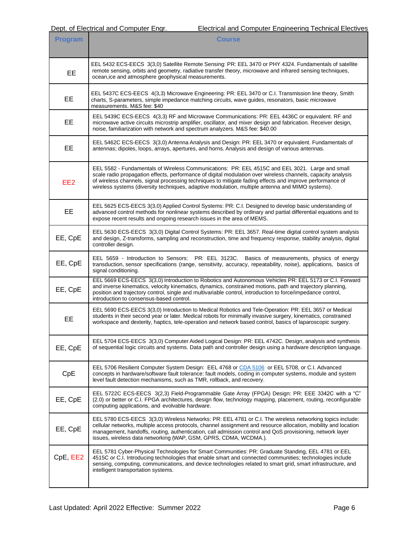| <b>Program</b>  | <b>Course</b>                                                                                                                                                                                                                                                                                                                                                                                                                   |
|-----------------|---------------------------------------------------------------------------------------------------------------------------------------------------------------------------------------------------------------------------------------------------------------------------------------------------------------------------------------------------------------------------------------------------------------------------------|
| <b>EE</b>       | EEL 5432 ECS-EECS 3(3,0) Satellite Remote Sensing: PR: EEL 3470 or PHY 4324. Fundamentals of satellite<br>remote sensing, orbits and geometry, radiative transfer theory, microwave and infrared sensing techniques,<br>ocean, ice and atmosphere geophysical measurements.                                                                                                                                                     |
| EE              | EEL 5437C ECS-EECS 4(3,3) Microwave Engineering: PR: EEL 3470 or C.I. Transmission line theory, Smith<br>charts, S-parameters, simple impedance matching circuits, wave guides, resonators, basic microwave<br>measurements, M&S fee: \$40                                                                                                                                                                                      |
| EE              | EEL 5439C ECS-EECS 4(3,3) RF and Microwave Communications: PR: EEL 4436C or equivalent. RF and<br>microwave active circuits microstrip amplifier, oscillator, and mixer design and fabrication. Receiver design,<br>noise, familiarization with network and spectrum analyzers. M&S fee: \$40.00                                                                                                                                |
| EE              | EEL 5462C ECS-EECS 3(3,0) Antenna Analysis and Design: PR: EEL 3470 or equivalent. Fundamentals of<br>antennas; dipoles, loops, arrays, apertures, and horns. Analysis and design of various antennas.                                                                                                                                                                                                                          |
| EE <sub>2</sub> | EEL 5582 - Fundamentals of Wireless Communications: PR: EEL 4515C and EEL 3021. Large and small<br>scale radio propagation effects, performance of digital modulation over wireless channels, capacity analysis<br>of wireless channels, signal processing techniques to mitigate fading effects and improve performance of<br>wireless systems (diversity techniques, adaptive modulation, multiple antenna and MIMO systems). |
| EE              | EEL 5625 ECS-EECS 3(3,0) Applied Control Systems: PR: C.I. Designed to develop basic understanding of<br>advanced control methods for nonlinear systems described by ordinary and partial differential equations and to<br>expose recent results and ongoing research issues in the area of MEMS.                                                                                                                               |
| EE, CpE         | EEL 5630 ECS-EECS 3(3,0) Digital Control Systems: PR: EEL 3657. Real-time digital control system analysis<br>and design, Z-transforms, sampling and reconstruction, time and frequency response, stability analysis, digital<br>controller design.                                                                                                                                                                              |
| EE, CpE         | EEL 5659 - Introduction to Sensors: PR: EEL 3123C. Basics of measurements, physics of energy<br>transduction, sensor specifications (range, sensitivity, accuracy, repeatability, noise), applications, basics of<br>signal conditioning.                                                                                                                                                                                       |
| EE, CpE         | EEL 5669 ECS-EECS 3(3,0) Introduction to Robotics and Autonomous Vehicles PR: EEL 5173 or C.I. Forward<br>and inverse kinematics, velocity kinematics, dynamics, constrained motions, path and trajectory planning,<br>position and trajectory control, single and multivariable control, introduction to force/impedance control,<br>introduction to consensus-based control.                                                  |
| <b>EE</b>       | EEL 5690 ECS-EECS 3(3,0) Introduction to Medical Robotics and Tele-Operation: PR: EEL 3657 or Medical<br>students in their second year or later. Medical robots for minimally invasive surgery, kinematics, constrained<br>workspace and dexterity, haptics, tele-operation and network based control, basics of laparoscopic surgery.                                                                                          |
| EE, CpE         | EEL 5704 ECS-EECS 3(3,0) Computer Aided Logical Design: PR: EEL 4742C. Design, analysis and synthesis<br>of sequential logic circuits and systems. Data path and controller design using a hardware description language.                                                                                                                                                                                                       |
| CpE             | EEL 5706 Resilient Computer System Design: EEL 4768 or CDA 5106 or EEL 5708, or C.I. Advanced<br>concepts in hardware/software fault tolerance: fault models, coding in computer systems, module and system<br>level fault detection mechanisms, such as TMR, rollback, and recovery.                                                                                                                                           |
| EE, CpE         | EEL 5722C ECS-EECS 3(2,3) Field-Programmable Gate Array (FPGA) Design: PR: EEE 3342C with a "C"<br>(2.0) or better or C.I. FPGA architectures, design flow, technology mapping, placement, routing, reconfigurable<br>computing applications, and evolvable hardware.                                                                                                                                                           |
| EE, CpE         | EEL 5780 ECS-EECS 3(3,0) Wireless Networks: PR: EEL 4781 or C.I. The wireless networking topics include:<br>cellular networks, multiple access protocols, channel assignment and resource allocation, mobility and location<br>management, handoffs, routing, authentication, call admission control and QoS provisioning, network layer<br>issues, wireless data networking (WAP, GSM, GPRS, CDMA, WCDMA.).                    |
| CpE, EE2        | EEL 5781 Cyber-Physical Technologies for Smart Communities: PR: Graduate Standing, EEL 4781 or EEL<br>4515C or C.I. Introducing technologies that enable smart and connected communities; technologies include<br>sensing, computing, communications, and device technologies related to smart grid, smart infrastructure, and<br>intelligent transportation systems.                                                           |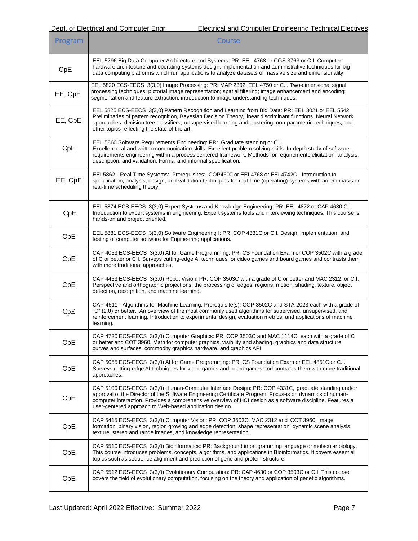| Program | <b>Course</b>                                                                                                                                                                                                                                                                                                                                                                         |
|---------|---------------------------------------------------------------------------------------------------------------------------------------------------------------------------------------------------------------------------------------------------------------------------------------------------------------------------------------------------------------------------------------|
| CpE     | EEL 5796 Big Data Computer Architecture and Systems: PR: EEL 4768 or CGS 3763 or C.I. Computer<br>hardware architecture and operating systems design, implementation and administrative techniques for big<br>data computing platforms which run applications to analyze datasets of massive size and dimensionality.                                                                 |
| EE, CpE | EEL 5820 ECS-EECS 3(3,0) Image Processing: PR: MAP 2302, EEL 4750 or C.I. Two-dimensional signal<br>processing techniques; pictorial image representation; spatial filtering; image enhancement and encoding;<br>segmentation and feature extraction; introduction to image understanding techniques.                                                                                 |
| EE, CpE | EEL 5825 ECS-EECS 3(3,0) Pattern Recognition and Learning from Big Data: PR: EEL 3021 or EEL 5542<br>Preliminaries of pattern recognition, Bayesian Decision Theory, linear discriminant functions, Neural Network<br>approaches, decision tree classifiers, unsupervised learning and clustering, non-parametric techniques, and<br>other topics reflecting the state-of-the art.    |
| CpE     | EEL 5860 Software Requirements Engineering: PR: Graduate standing or C.I.<br>Excellent oral and written communication skills. Excellent problem solving skills. In-depth study of software<br>requirements engineering within a process centered framework. Methods for requirements elicitation, analysis,<br>description, and validation. Formal and informal specification.        |
| EE, CpE | EEL5862 - Real-Time Systems: Prerequisites: COP4600 or EEL4768 or EEL4742C. Introduction to<br>specification, analysis, design, and validation techniques for real-time (operating) systems with an emphasis on<br>real-time scheduling theory.                                                                                                                                       |
| CpE     | EEL 5874 ECS-EECS 3(3,0) Expert Systems and Knowledge Engineering: PR: EEL 4872 or CAP 4630 C.l.<br>Introduction to expert systems in engineering. Expert systems tools and interviewing techniques. This course is<br>hands-on and project oriented.                                                                                                                                 |
| CpE     | EEL 5881 ECS-EECS 3(3,0) Software Engineering I: PR: COP 4331C or C.I. Design, implementation, and<br>testing of computer software for Engineering applications.                                                                                                                                                                                                                      |
| CpE     | CAP 4053 ECS-EECS 3(3,0) AI for Game Programming: PR: CS Foundation Exam or COP 3502C with a grade<br>of C or better or C.I. Surveys cutting-edge AI techniques for video games and board games and contrasts them<br>with more traditional approaches.                                                                                                                               |
| CpE     | CAP 4453 ECS-EECS 3(3,0) Robot Vision: PR: COP 3503C with a grade of C or better and MAC 2312, or C.I.<br>Perspective and orthographic projections; the processing of edges, regions, motion, shading, texture, object<br>detection, recognition, and machine learning.                                                                                                               |
| CpE     | CAP 4611 - Algorithms for Machine Learning. Prerequisite(s): COP 3502C and STA 2023 each with a grade of<br>"C" (2.0) or better. An overview of the most commonly used algorithms for supervised, unsupervised, and<br>reinforcement learning. Introduction to experimental design, evaluation metrics, and applications of machine<br>learning.                                      |
| CpE     | CAP 4720 ECS-EECS 3(3,0) Computer Graphics: PR: COP 3503C and MAC 1114C each with a grade of C<br>or better and COT 3960. Math for computer graphics, visibility and shading, graphics and data structure,<br>curves and surfaces, commodity graphics hardware, and graphics API.                                                                                                     |
| CpE     | CAP 5055 ECS-EECS 3(3,0) AI for Game Programming: PR: CS Foundation Exam or EEL 4851C or C.I.<br>Surveys cutting-edge AI techniques for video games and board games and contrasts them with more traditional<br>approaches.                                                                                                                                                           |
| CpE     | CAP 5100 ECS-EECS 3(3,0) Human-Computer Interface Design: PR: COP 4331C, graduate standing and/or<br>approval of the Director of the Software Engineering Certificate Program. Focuses on dynamics of human-<br>computer interaction. Provides a comprehensive overview of HCI design as a software discipline. Features a<br>user-centered approach to Web-based application design. |
| CpE     | CAP 5415 ECS-EECS 3(3,0) Computer Vision: PR: COP 3503C, MAC 2312 and COT 3960. Image<br>formation, binary vision, region growing and edge detection, shape representation, dynamic scene analysis,<br>texture, stereo and range images, and knowledge representation.                                                                                                                |
| CpE     | CAP 5510 ECS-EECS 3(3,0) Bioinformatics: PR: Background in programming language or molecular biology.<br>This course introduces problems, concepts, algorithms, and applications in Bioinformatics. It covers essential<br>topics such as sequence alignment and prediction of gene and protein structure.                                                                            |
| CpE     | CAP 5512 ECS-EECS 3(3,0) Evolutionary Computation: PR: CAP 4630 or COP 3503C or C.I. This course<br>covers the field of evolutionary computation, focusing on the theory and application of genetic algorithms.                                                                                                                                                                       |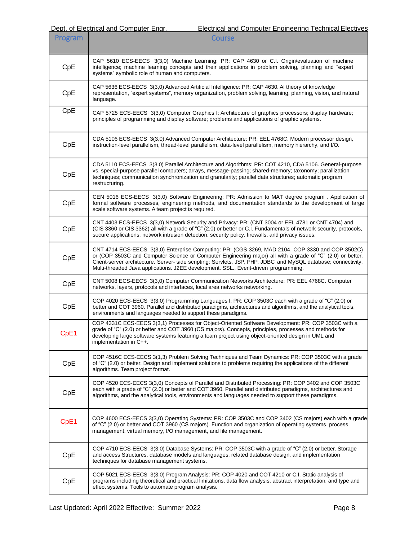| Program | <b>Course</b>                                                                                                                                                                                                                                                                                                                                                                                                          |
|---------|------------------------------------------------------------------------------------------------------------------------------------------------------------------------------------------------------------------------------------------------------------------------------------------------------------------------------------------------------------------------------------------------------------------------|
| CpE     | CAP 5610 ECS-EECS 3(3,0) Machine Learning: PR: CAP 4630 or C.I. Origin/evaluation of machine<br>intelligence; machine learning concepts and their applications in problem solving, planning and "expert<br>systems" symbolic role of human and computers.                                                                                                                                                              |
| CpE     | CAP 5636 ECS-EECS 3(3,0) Advanced Artificial Intelligence: PR: CAP 4630. Al theory of knowledge<br>representation, "expert systems", memory organization, problem solving, learning, planning, vision, and natural<br>language.                                                                                                                                                                                        |
| CpE     | CAP 5725 ECS-EECS 3(3,0) Computer Graphics I: Architecture of graphics processors; display hardware;<br>principles of programming and display software; problems and applications of graphic systems.                                                                                                                                                                                                                  |
| CpE     | CDA 5106 ECS-EECS 3(3,0) Advanced Computer Architecture: PR: EEL 4768C. Modern processor design,<br>instruction-level parallelism, thread-level parallelism, data-level parallelism, memory hierarchy, and I/O.                                                                                                                                                                                                        |
| CpE     | CDA 5110 ECS-EECS 3(3,0) Parallel Architecture and Algorithms: PR: COT 4210, CDA 5106. General-purpose<br>vs. special-purpose parallel computers; arrays, message-passing; shared-memory; taxonomy; parallization<br>techniques; communication synchronization and granularity; parallel data structures; automatic program<br>restructuring.                                                                          |
| CpE     | CEN 5016 ECS-EECS 3(3,0) Software Engineering: PR: Admission to MAT degree program . Application of<br>formal software processes, engineering methods, and documentation standards to the development of large<br>scale software systems. A team project is required.                                                                                                                                                  |
| CpE     | CNT 4403 ECS-EECS 3(3,0) Network Security and Privacy: PR: (CNT 3004 or EEL 4781 or CNT 4704) and<br>(CIS 3360 or CIS 3362) all with a grade of "C" (2.0) or better or C.I. Fundamentals of network security, protocols,<br>secure applications, network intrusion detection, security policy, firewalls, and privacy issues.                                                                                          |
| CpE     | CNT 4714 ECS-EECS 3(3,0) Enterprise Computing: PR: (CGS 3269, MAD 2104, COP 3330 and COP 3502C)<br>or (COP 3503C and Computer Science or Computer Engineering major) all with a grade of "C" (2.0) or better.<br>Client-server architecture. Server- side scripting: Servlets, JSP, PHP. JDBC and MySQL database; connectivity.<br>Multi-threaded Java applications. J2EE development. SSL., Event-driven programming. |
| CpE     | CNT 5008 ECS-EECS 3(3,0) Computer Communication Networks Architecture: PR: EEL 4768C. Computer<br>networks, layers, protocols and interfaces, local area networks networking.                                                                                                                                                                                                                                          |
| CpE     | COP 4020 ECS-EECS 3(3,0) Programming Languages I: PR: COP 3503C each with a grade of "C" (2.0) or<br>better and COT 3960. Parallel and distributed paradigms, architectures and algorithms, and the analytical tools,<br>environments and languages needed to support these paradigms.                                                                                                                                 |
| CpE1    | COP 4331C ECS-EECS 3(3,1) Processes for Object-Oriented Software Development: PR: COP 3503C with a<br>grade of "C" (2.0) or better and COT 3960 (CS majors). Concepts, principles, processes and methods for<br>developing large software systems featuring a team project using object-oriented design in UML and<br>implementation in C++.                                                                           |
| CpE     | COP 4516C ECS-EECS 3(1,3) Problem Solving Techniques and Team Dynamics: PR: COP 3503C with a grade<br>of "C" (2.0) or better. Design and implement solutions to problems requiring the applications of the different<br>algorithms. Team project format.                                                                                                                                                               |
| CpE     | COP 4520 ECS-EECS 3(3,0) Concepts of Parallel and Distributed Processing: PR: COP 3402 and COP 3503C<br>each with a grade of "C" (2.0) or better and COT 3960. Parallel and distributed paradigms, architectures and<br>algorithms, and the analytical tools, environments and languages needed to support these paradigms.                                                                                            |
| CpE1    | COP 4600 ECS-EECS 3(3,0) Operating Systems: PR: COP 3503C and COP 3402 (CS majors) each with a grade<br>of "C" (2.0) or better and COT 3960 (CS majors). Function and organization of operating systems, process<br>management, virtual memory, I/O management, and file management.                                                                                                                                   |
| CpE     | COP 4710 ECS-EECS 3(3,0) Database Systems: PR: COP 3503C with a grade of "C" (2.0) or better. Storage<br>and access Structures, database models and languages, related database design, and implementation<br>techniques for database management systems.                                                                                                                                                              |
| CpE     | COP 5021 ECS-EECS 3(3,0) Program Analysis: PR: COP 4020 and COT 4210 or C.I. Static analysis of<br>programs including theoretical and practical limitations, data flow analysis, abstract interpretation, and type and<br>effect systems. Tools to automate program analysis.                                                                                                                                          |